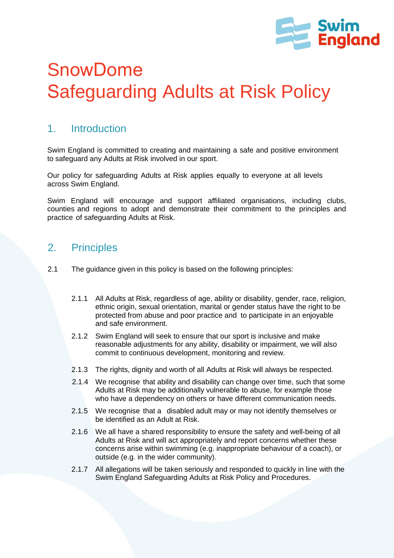

# SnowDome Safeguarding Adults at Risk Policy

## 1. Introduction

Swim England is committed to creating and maintaining a safe and positive environment to safeguard any Adults at Risk involved in our sport.

Our policy for safeguarding Adults at Risk applies equally to everyone at all levels across Swim England.

Swim England will encourage and support affiliated organisations, including clubs, counties and regions to adopt and demonstrate their commitment to the principles and practice of safeguarding Adults at Risk.

#### 2. Principles

- 2.1 The guidance given in this policy is based on the following principles:
	- 2.1.1 All Adults at Risk, regardless of age, ability or disability, gender, race, religion, ethnic origin, sexual orientation, marital or gender status have the right to be protected from abuse and poor practice and to participate in an enjoyable and safe environment.
	- 2.1.2 Swim England will seek to ensure that our sport is inclusive and make reasonable adjustments for any ability, disability or impairment, we will also commit to continuous development, monitoring and review.
	- 2.1.3 The rights, dignity and worth of all Adults at Risk will always be respected.
	- 2.1.4 We recognise that ability and disability can change over time, such that some Adults at Risk may be additionally vulnerable to abuse, for example those who have a dependency on others or have different communication needs.
	- 2.1.5 We recognise that a disabled adult may or may not identify themselves or be identified as an Adult at Risk.
	- 2.1.6 We all have a shared responsibility to ensure the safety and well-being of all Adults at Risk and will act appropriately and report concerns whether these concerns arise within swimming (e.g. inappropriate behaviour of a coach), or outside (e.g. in the wider community).
	- 2.1.7 All allegations will be taken seriously and responded to quickly in line with the Swim England Safeguarding Adults at Risk Policy and Procedures.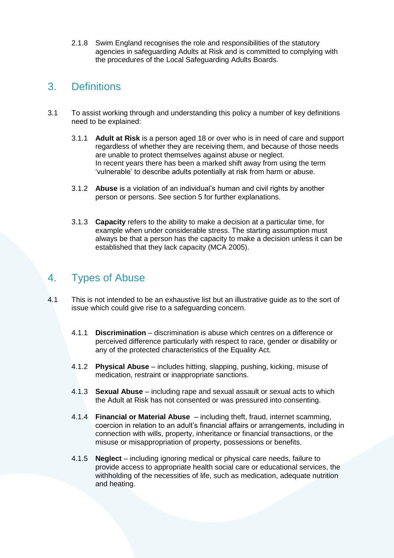2.1.8 Swim England recognises the role and responsibilities of the statutory agencies in safeguarding Adults at Risk and is committed to complying with the procedures of the Local Safeguarding Adults Boards.

## 3. Definitions

- 3.1 To assist working through and understanding this policy a number of key definitions need to be explained:
	- 3.1.1 **Adult at Risk** is a person aged 18 or over who is in need of care and support regardless of whether they are receiving them, and because of those needs are unable to protect themselves against abuse or neglect. In recent years there has been a marked shift away from using the term 'vulnerable' to describe adults potentially at risk from harm or abuse.
	- 3.1.2 **Abuse** is a violation of an individual's human and civil rights by another person or persons. See section 5 for further explanations.
	- 3.1.3 **Capacity** refers to the ability to make a decision at a particular time, for example when under considerable stress. The starting assumption must always be that a person has the capacity to make a decision unless it can be established that they lack capacity (MCA 2005).

## 4. Types of Abuse

- 4.1 This is not intended to be an exhaustive list but an illustrative guide as to the sort of issue which could give rise to a safeguarding concern.
	- 4.1.1 **Discrimination**  discrimination is abuse which centres on a difference or perceived difference particularly with respect to race, gender or disability or any of the protected characteristics of the Equality Act.
	- 4.1.2 **Physical Abuse**  includes hitting, slapping, pushing, kicking, misuse of medication, restraint or inappropriate sanctions.
	- 4.1.3 **Sexual Abuse**  including rape and sexual assault or sexual acts to which the Adult at Risk has not consented or was pressured into consenting.
	- 4.1.4 **Financial or Material Abuse**  including theft, fraud, internet scamming, coercion in relation to an adult's financial affairs or arrangements, including in connection with wills, property, inheritance or financial transactions, or the misuse or misappropriation of property, possessions or benefits.
	- 4.1.5 **Neglect**  including ignoring medical or physical care needs, failure to provide access to appropriate health social care or educational services, the withholding of the necessities of life, such as medication, adequate nutrition and heating.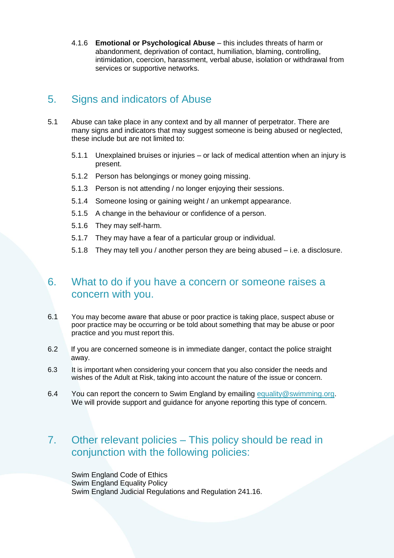4.1.6 **Emotional or Psychological Abuse** – this includes threats of harm or abandonment, deprivation of contact, humiliation, blaming, controlling, intimidation, coercion, harassment, verbal abuse, isolation or withdrawal from services or supportive networks.

### 5. Signs and indicators of Abuse

- 5.1 Abuse can take place in any context and by all manner of perpetrator. There are many signs and indicators that may suggest someone is being abused or neglected, these include but are not limited to:
	- 5.1.1 Unexplained bruises or injuries or lack of medical attention when an injury is present.
	- 5.1.2 Person has belongings or money going missing.
	- 5.1.3 Person is not attending / no longer enjoying their sessions.
	- 5.1.4 Someone losing or gaining weight / an unkempt appearance.
	- 5.1.5 A change in the behaviour or confidence of a person.
	- 5.1.6 They may self-harm.
	- 5.1.7 They may have a fear of a particular group or individual.
	- 5.1.8 They may tell you / another person they are being abused i.e. a disclosure.

#### 6. What to do if you have a concern or someone raises a concern with you.

- 6.1 You may become aware that abuse or poor practice is taking place, suspect abuse or poor practice may be occurring or be told about something that may be abuse or poor practice and you must report this.
- 6.2 If you are concerned someone is in immediate danger, contact the police straight away.
- 6.3 It is important when considering your concern that you also consider the needs and wishes of the Adult at Risk, taking into account the nature of the issue or concern.
- 6.4 You can report the concern to Swim England by emailing [equality@swimming.org.](mailto:equality@swimming.org) We will provide support and guidance for anyone reporting this type of concern.

#### 7. Other relevant policies – This policy should be read in conjunction with the following policies:

Swim England Code of Ethics Swim England Equality Policy Swim England Judicial Regulations and Regulation 241.16.